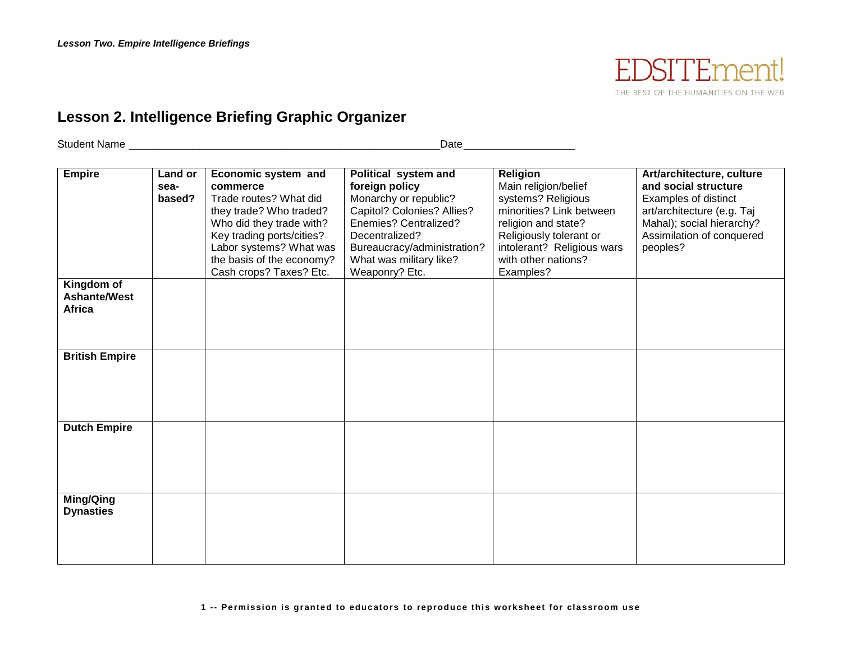

## **Lesson 2. Intelligence Briefing Graphic Organizer**

Student Name \_\_\_\_\_\_\_\_\_\_\_\_\_\_\_\_\_\_\_\_\_\_\_\_\_\_\_\_\_\_\_\_\_\_\_\_\_\_\_\_\_\_\_\_\_\_\_\_\_\_\_\_\_Date\_\_\_\_\_\_\_\_\_\_\_\_\_\_\_\_\_\_\_

| Empire                                      | Land or<br>sea-<br>based? | Economic system and<br>commerce<br>Trade routes? What did<br>they trade? Who traded?<br>Who did they trade with?<br>Key trading ports/cities?<br>Labor systems? What was | Political system and<br>foreign policy<br>Monarchy or republic?<br>Capitol? Colonies? Allies?<br>Enemies? Centralized?<br>Decentralized?<br>Bureaucracy/administration? | <b>Religion</b><br>Main religion/belief<br>systems? Religious<br>minorities? Link between<br>religion and state?<br>Religiously tolerant or<br>intolerant? Religious wars | Art/architecture, culture<br>and social structure<br>Examples of distinct<br>art/architecture (e.g. Taj<br>Mahal); social hierarchy?<br>Assimilation of conquered<br>peoples? |
|---------------------------------------------|---------------------------|--------------------------------------------------------------------------------------------------------------------------------------------------------------------------|-------------------------------------------------------------------------------------------------------------------------------------------------------------------------|---------------------------------------------------------------------------------------------------------------------------------------------------------------------------|-------------------------------------------------------------------------------------------------------------------------------------------------------------------------------|
|                                             |                           | the basis of the economy?<br>Cash crops? Taxes? Etc.                                                                                                                     | What was military like?<br>Weaponry? Etc.                                                                                                                               | with other nations?<br>Examples?                                                                                                                                          |                                                                                                                                                                               |
| Kingdom of<br><b>Ashante/West</b><br>Africa |                           |                                                                                                                                                                          |                                                                                                                                                                         |                                                                                                                                                                           |                                                                                                                                                                               |
| <b>British Empire</b>                       |                           |                                                                                                                                                                          |                                                                                                                                                                         |                                                                                                                                                                           |                                                                                                                                                                               |
| <b>Dutch Empire</b>                         |                           |                                                                                                                                                                          |                                                                                                                                                                         |                                                                                                                                                                           |                                                                                                                                                                               |
| Ming/Qing<br><b>Dynasties</b>               |                           |                                                                                                                                                                          |                                                                                                                                                                         |                                                                                                                                                                           |                                                                                                                                                                               |